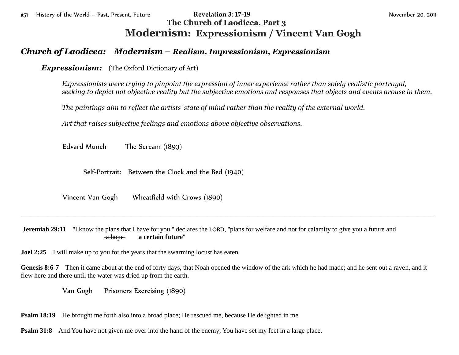## #51 History of the World – Past, Present, Future **Revelation 3: 17-19** November 20, 2011 **The Church of Laodicea, Part 3 Modernism: Expressionism / Vincent Van Gogh**

## *Church of Laodicea: Modernism – Realism, Impressionism, Expressionism*

*Expressionism:* (The Oxford Dictionary of Art)

*Expressionists were trying to pinpoint the expression of inner experience rather than solely realistic portrayal, seeking to depict not objective reality but the subjective emotions and responses that objects and events arouse in them.*

*The paintings aim to reflect the artists' state of mind rather than the reality of the external world.*

*Art that raises subjective feelings and emotions above objective observations.*

Edvard Munch The Scream (1893)

Self-Portrait: Between the Clock and the Bed (1940)

Vincent Van Gogh Wheatfield with Crows (1890)

**Jeremiah 29:11** "I know the plans that I have for you," declares the LORD, "plans for welfare and not for calamity to give you a future and a hope **a certain future**''

**Joel 2:25** I will make up to you for the years that the swarming locust has eaten

**Genesis 8:6-7** Then it came about at the end of forty days, that Noah opened the window of the ark which he had made; and he sent out a raven, and it flew here and there until the water was dried up from the earth.

\_\_\_\_\_\_\_\_\_\_\_\_\_\_\_\_\_\_\_\_\_\_\_\_\_\_\_\_\_\_\_\_\_\_\_\_\_\_\_\_\_\_\_\_\_\_\_\_\_\_\_\_\_\_\_\_\_\_\_\_\_\_\_\_\_\_\_\_\_\_\_\_\_\_\_\_\_\_\_\_\_\_\_\_\_\_\_\_\_\_\_\_\_\_\_\_\_\_\_\_\_\_\_\_\_\_\_\_\_\_\_\_\_\_\_\_\_\_\_\_\_\_\_\_

Van Gogh Prisoners Exercising (1890)

**Psalm 18:19** He brought me forth also into a broad place; He rescued me, because He delighted in me

**Psalm 31:8** And You have not given me over into the hand of the enemy; You have set my feet in a large place.